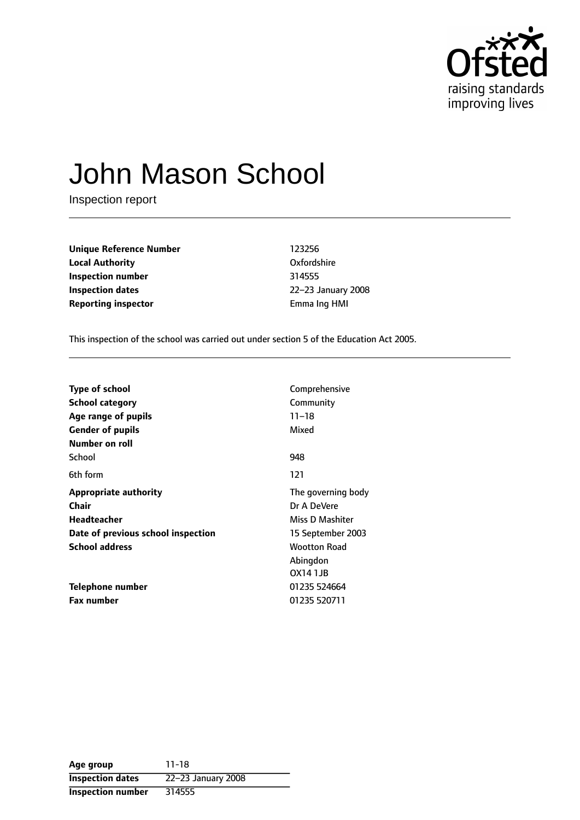

# John Mason School

Inspection report

**Unique Reference Number** 123256 **Local Authority** Oxfordshire **Inspection number** 314555 **Inspection dates** 22-23 January 2008 **Reporting inspector Emma Ing HMI** 

This inspection of the school was carried out under section 5 of the Education Act 2005.

| <b>Type of school</b>              | Comprehensive       |  |
|------------------------------------|---------------------|--|
| School category                    | Community           |  |
| Age range of pupils                | $11 - 18$           |  |
| <b>Gender of pupils</b>            | Mixed               |  |
| Number on roll                     |                     |  |
| School                             | 948                 |  |
| 6th form                           | 121                 |  |
| <b>Appropriate authority</b>       | The governing body  |  |
| Chair                              | Dr A DeVere         |  |
| Headteacher                        | Miss D Mashiter     |  |
| Date of previous school inspection | 15 September 2003   |  |
| <b>School address</b>              | <b>Wootton Road</b> |  |
|                                    | Abingdon            |  |
|                                    | OX14 1JB            |  |
| Telephone number                   | 01235 524664        |  |
| <b>Fax number</b>                  | 01235 520711        |  |

**Age group** 11-18 **Inspection dates** 22-23 January 2008 **Inspection number** 314555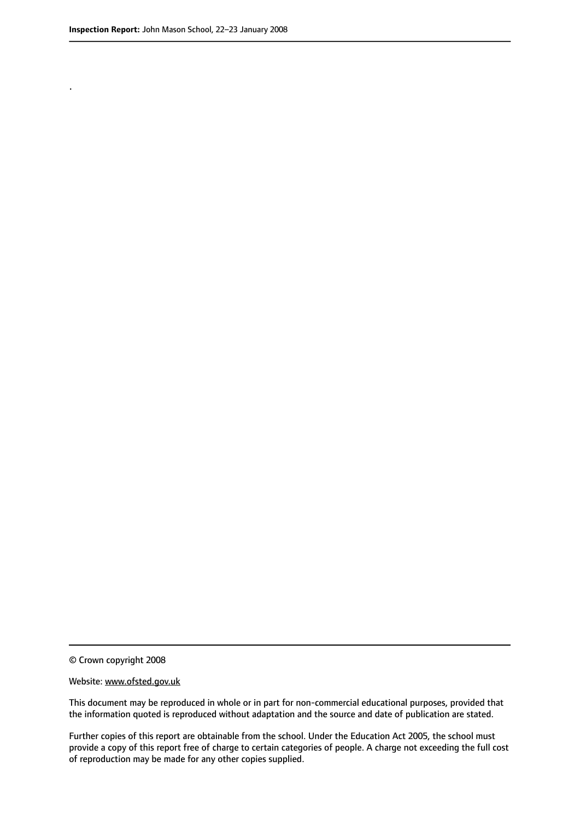.

© Crown copyright 2008

#### Website: www.ofsted.gov.uk

This document may be reproduced in whole or in part for non-commercial educational purposes, provided that the information quoted is reproduced without adaptation and the source and date of publication are stated.

Further copies of this report are obtainable from the school. Under the Education Act 2005, the school must provide a copy of this report free of charge to certain categories of people. A charge not exceeding the full cost of reproduction may be made for any other copies supplied.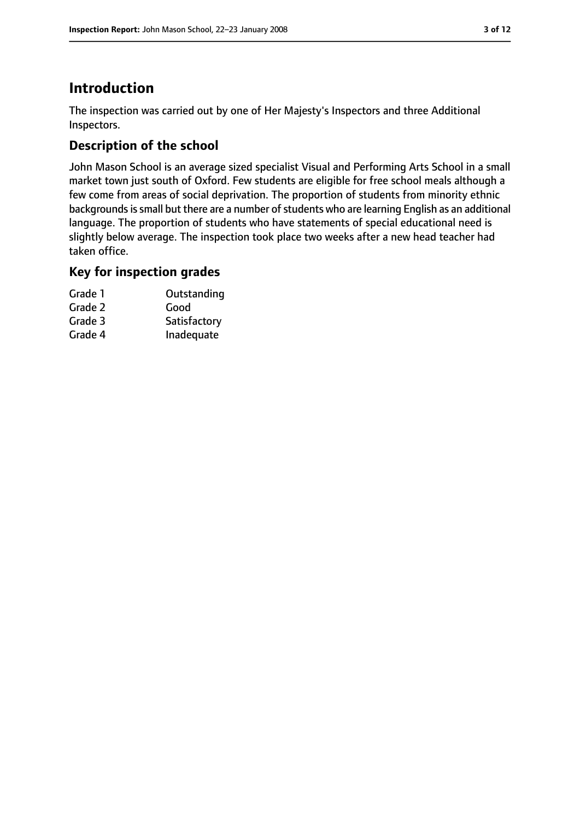# **Introduction**

The inspection was carried out by one of Her Majesty's Inspectors and three Additional Inspectors.

## **Description of the school**

John Mason School is an average sized specialist Visual and Performing Arts School in a small market town just south of Oxford. Few students are eligible for free school meals although a few come from areas of social deprivation. The proportion of students from minority ethnic backgrounds is small but there are a number of students who are learning English as an additional language. The proportion of students who have statements of special educational need is slightly below average. The inspection took place two weeks after a new head teacher had taken office.

### **Key for inspection grades**

| Grade 1 | Outstanding  |
|---------|--------------|
| Grade 2 | Good         |
| Grade 3 | Satisfactory |
| Grade 4 | Inadequate   |
|         |              |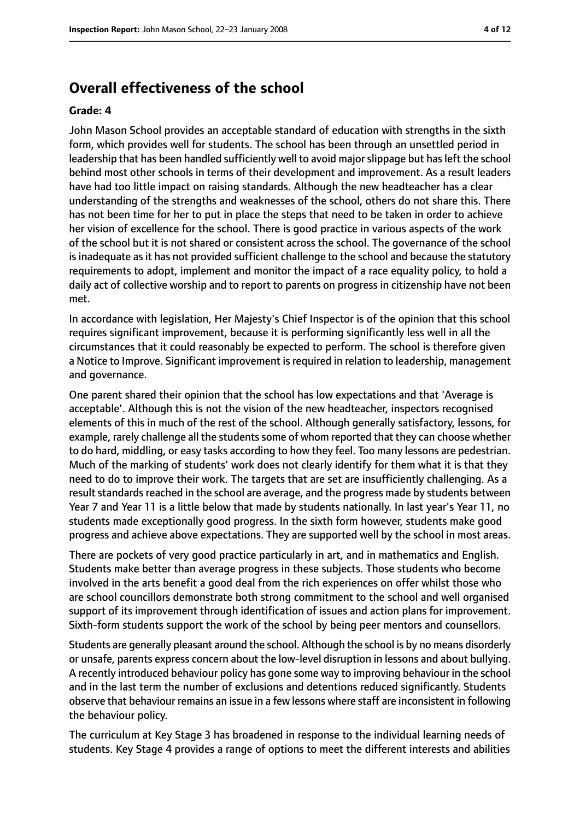## **Overall effectiveness of the school**

#### **Grade: 4**

John Mason School provides an acceptable standard of education with strengths in the sixth form, which provides well for students. The school has been through an unsettled period in leadership that has been handled sufficiently well to avoid majorslippage but hasleft the school behind most other schools in terms of their development and improvement. As a result leaders have had too little impact on raising standards. Although the new headteacher has a clear understanding of the strengths and weaknesses of the school, others do not share this. There has not been time for her to put in place the steps that need to be taken in order to achieve her vision of excellence for the school. There is good practice in various aspects of the work of the school but it is not shared or consistent across the school. The governance of the school is inadequate as it has not provided sufficient challenge to the school and because the statutory requirements to adopt, implement and monitor the impact of a race equality policy, to hold a daily act of collective worship and to report to parents on progress in citizenship have not been met.

In accordance with legislation, Her Majesty's Chief Inspector is of the opinion that this school requires significant improvement, because it is performing significantly less well in all the circumstances that it could reasonably be expected to perform. The school is therefore given a Notice to Improve. Significant improvement is required in relation to leadership, management and governance.

One parent shared their opinion that the school has low expectations and that 'Average is acceptable'. Although this is not the vision of the new headteacher, inspectors recognised elements of this in much of the rest of the school. Although generally satisfactory, lessons, for example, rarely challenge all the students some of whom reported that they can choose whether to do hard, middling, or easy tasks according to how they feel. Too many lessons are pedestrian. Much of the marking of students' work does not clearly identify for them what it is that they need to do to improve their work. The targets that are set are insufficiently challenging. As a result standards reached in the school are average, and the progress made by students between Year 7 and Year 11 is a little below that made by students nationally. In last year's Year 11, no students made exceptionally good progress. In the sixth form however, students make good progress and achieve above expectations. They are supported well by the school in most areas.

There are pockets of very good practice particularly in art, and in mathematics and English. Students make better than average progress in these subjects. Those students who become involved in the arts benefit a good deal from the rich experiences on offer whilst those who are school councillors demonstrate both strong commitment to the school and well organised support of its improvement through identification of issues and action plans for improvement. Sixth-form students support the work of the school by being peer mentors and counsellors.

Students are generally pleasant around the school. Although the school is by no means disorderly or unsafe, parents express concern about the low-level disruption in lessons and about bullying. A recently introduced behaviour policy has gone some way to improving behaviour in the school and in the last term the number of exclusions and detentions reduced significantly. Students observe that behaviour remains an issue in a few lessons where staff are inconsistent in following the behaviour policy.

The curriculum at Key Stage 3 has broadened in response to the individual learning needs of students. Key Stage 4 provides a range of options to meet the different interests and abilities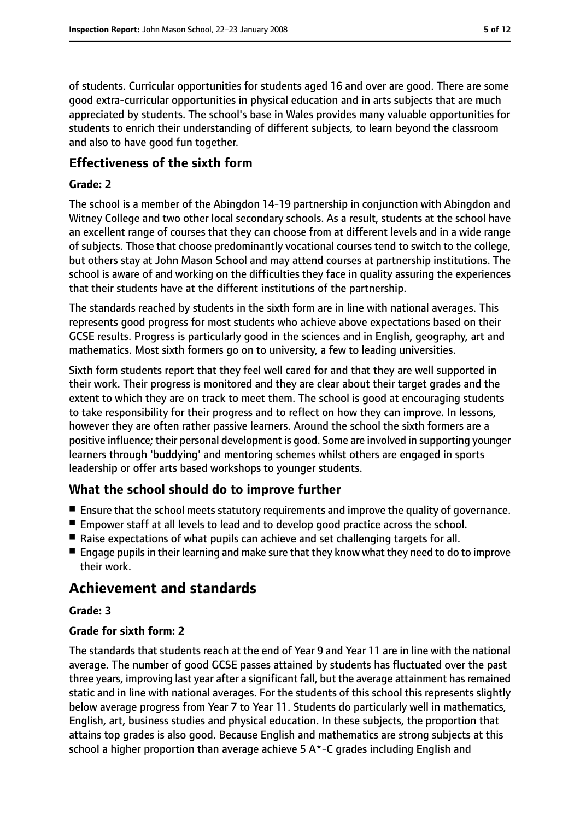of students. Curricular opportunities for students aged 16 and over are good. There are some good extra-curricular opportunities in physical education and in arts subjects that are much appreciated by students. The school's base in Wales provides many valuable opportunities for students to enrich their understanding of different subjects, to learn beyond the classroom and also to have good fun together.

#### **Effectiveness of the sixth form**

#### **Grade: 2**

The school is a member of the Abingdon 14-19 partnership in conjunction with Abingdon and Witney College and two other local secondary schools. As a result, students at the school have an excellent range of courses that they can choose from at different levels and in a wide range of subjects. Those that choose predominantly vocational courses tend to switch to the college, but others stay at John Mason School and may attend courses at partnership institutions. The school is aware of and working on the difficulties they face in quality assuring the experiences that their students have at the different institutions of the partnership.

The standards reached by students in the sixth form are in line with national averages. This represents good progress for most students who achieve above expectations based on their GCSE results. Progress is particularly good in the sciences and in English, geography, art and mathematics. Most sixth formers go on to university, a few to leading universities.

Sixth form students report that they feel well cared for and that they are well supported in their work. Their progress is monitored and they are clear about their target grades and the extent to which they are on track to meet them. The school is good at encouraging students to take responsibility for their progress and to reflect on how they can improve. In lessons, however they are often rather passive learners. Around the school the sixth formers are a positive influence; their personal development is good. Some are involved in supporting younger learners through 'buddying' and mentoring schemes whilst others are engaged in sports leadership or offer arts based workshops to younger students.

## **What the school should do to improve further**

- Ensure that the school meets statutory requirements and improve the quality of governance.
- Empower staff at all levels to lead and to develop good practice across the school.
- Raise expectations of what pupils can achieve and set challenging targets for all.
- Engage pupils in their learning and make sure that they know what they need to do to improve their work.

## **Achievement and standards**

#### **Grade: 3**

#### **Grade for sixth form: 2**

The standards that students reach at the end of Year 9 and Year 11 are in line with the national average. The number of good GCSE passes attained by students has fluctuated over the past three years, improving last year after a significant fall, but the average attainment has remained static and in line with national averages. For the students of this school this represents slightly below average progress from Year 7 to Year 11. Students do particularly well in mathematics, English, art, business studies and physical education. In these subjects, the proportion that attains top grades is also good. Because English and mathematics are strong subjects at this school a higher proportion than average achieve 5 A\*-C grades including English and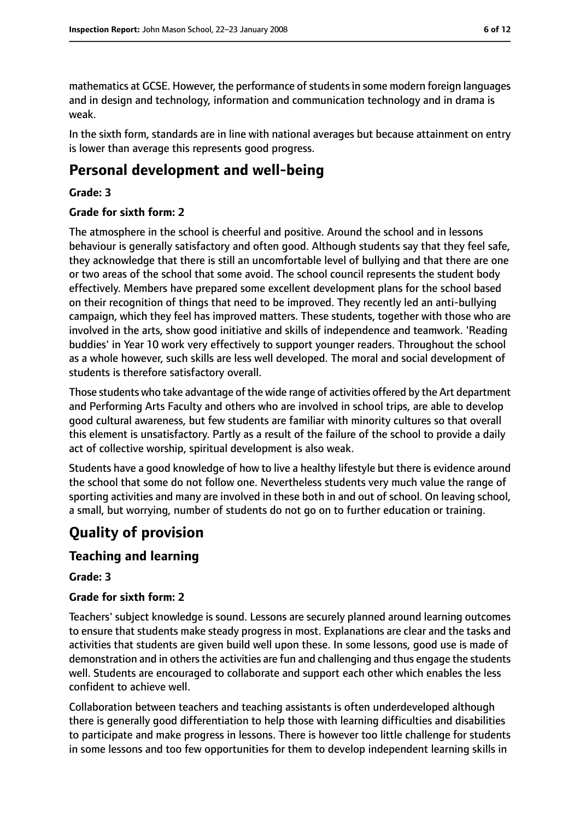mathematics at GCSE. However, the performance of students in some modern foreign languages and in design and technology, information and communication technology and in drama is weak.

In the sixth form, standards are in line with national averages but because attainment on entry is lower than average this represents good progress.

## **Personal development and well-being**

#### **Grade: 3**

#### **Grade for sixth form: 2**

The atmosphere in the school is cheerful and positive. Around the school and in lessons behaviour is generally satisfactory and often good. Although students say that they feel safe, they acknowledge that there is still an uncomfortable level of bullying and that there are one or two areas of the school that some avoid. The school council represents the student body effectively. Members have prepared some excellent development plans for the school based on their recognition of things that need to be improved. They recently led an anti-bullying campaign, which they feel has improved matters. These students, together with those who are involved in the arts, show good initiative and skills of independence and teamwork. 'Reading buddies' in Year 10 work very effectively to support younger readers. Throughout the school as a whole however, such skills are less well developed. The moral and social development of students is therefore satisfactory overall.

Those students who take advantage of the wide range of activities offered by the Art department and Performing Arts Faculty and others who are involved in school trips, are able to develop good cultural awareness, but few students are familiar with minority cultures so that overall this element is unsatisfactory. Partly as a result of the failure of the school to provide a daily act of collective worship, spiritual development is also weak.

Students have a good knowledge of how to live a healthy lifestyle but there is evidence around the school that some do not follow one. Nevertheless students very much value the range of sporting activities and many are involved in these both in and out of school. On leaving school, a small, but worrying, number of students do not go on to further education or training.

# **Quality of provision**

## **Teaching and learning**

#### **Grade: 3**

#### **Grade for sixth form: 2**

Teachers' subject knowledge is sound. Lessons are securely planned around learning outcomes to ensure that students make steady progress in most. Explanations are clear and the tasks and activities that students are given build well upon these. In some lessons, good use is made of demonstration and in others the activities are fun and challenging and thus engage the students well. Students are encouraged to collaborate and support each other which enables the less confident to achieve well.

Collaboration between teachers and teaching assistants is often underdeveloped although there is generally good differentiation to help those with learning difficulties and disabilities to participate and make progress in lessons. There is however too little challenge for students in some lessons and too few opportunities for them to develop independent learning skills in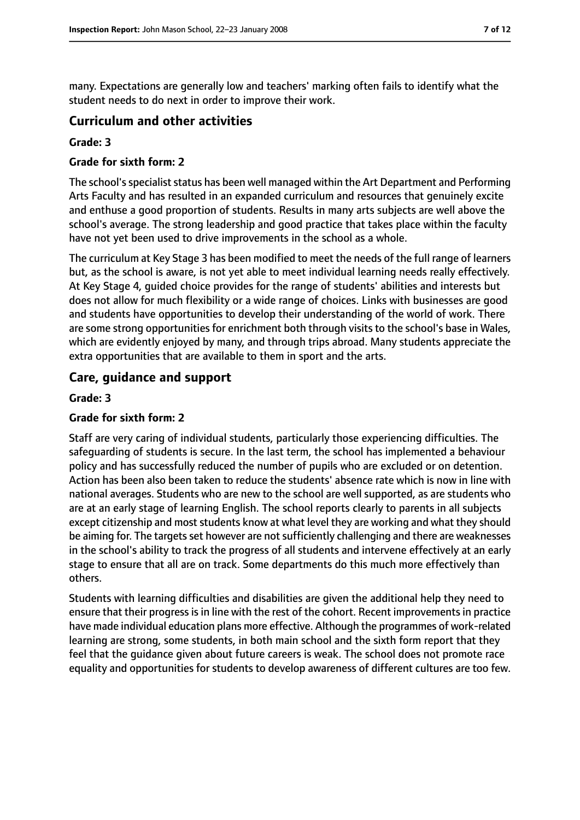many. Expectations are generally low and teachers' marking often fails to identify what the student needs to do next in order to improve their work.

#### **Curriculum and other activities**

#### **Grade: 3**

#### **Grade for sixth form: 2**

The school's specialist status has been well managed within the Art Department and Performing Arts Faculty and has resulted in an expanded curriculum and resources that genuinely excite and enthuse a good proportion of students. Results in many arts subjects are well above the school's average. The strong leadership and good practice that takes place within the faculty have not yet been used to drive improvements in the school as a whole.

The curriculum at Key Stage 3 has been modified to meet the needs of the full range of learners but, as the school is aware, is not yet able to meet individual learning needs really effectively. At Key Stage 4, guided choice provides for the range of students' abilities and interests but does not allow for much flexibility or a wide range of choices. Links with businesses are good and students have opportunities to develop their understanding of the world of work. There are some strong opportunities for enrichment both through visits to the school's base in Wales, which are evidently enjoyed by many, and through trips abroad. Many students appreciate the extra opportunities that are available to them in sport and the arts.

### **Care, guidance and support**

#### **Grade: 3**

#### **Grade for sixth form: 2**

Staff are very caring of individual students, particularly those experiencing difficulties. The safeguarding of students is secure. In the last term, the school has implemented a behaviour policy and has successfully reduced the number of pupils who are excluded or on detention. Action has been also been taken to reduce the students' absence rate which is now in line with national averages. Students who are new to the school are well supported, as are students who are at an early stage of learning English. The school reports clearly to parents in all subjects except citizenship and most students know at what level they are working and what they should be aiming for. The targets set however are not sufficiently challenging and there are weaknesses in the school's ability to track the progress of all students and intervene effectively at an early stage to ensure that all are on track. Some departments do this much more effectively than others.

Students with learning difficulties and disabilities are given the additional help they need to ensure that their progressisin line with the rest of the cohort. Recent improvementsin practice have made individual education plans more effective. Although the programmes of work-related learning are strong, some students, in both main school and the sixth form report that they feel that the guidance given about future careers is weak. The school does not promote race equality and opportunities for students to develop awareness of different cultures are too few.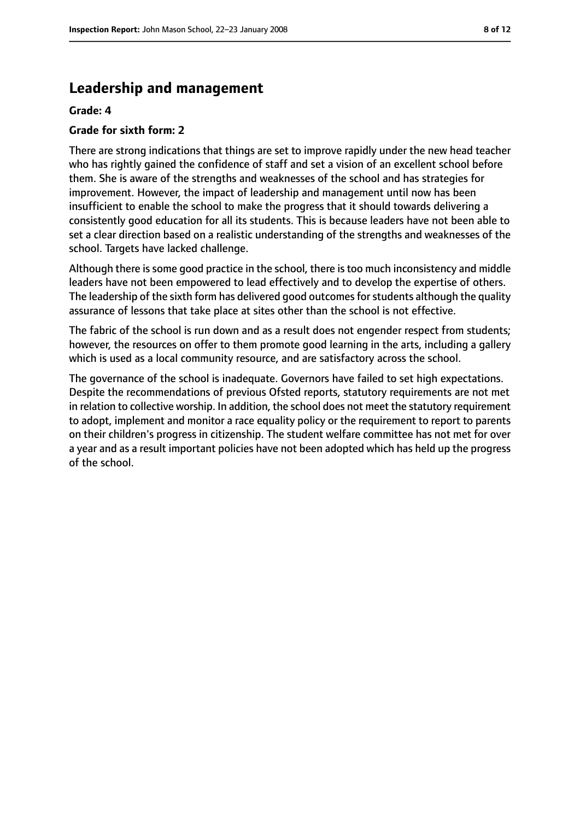## **Leadership and management**

#### **Grade: 4**

#### **Grade for sixth form: 2**

There are strong indications that things are set to improve rapidly under the new head teacher who has rightly gained the confidence of staff and set a vision of an excellent school before them. She is aware of the strengths and weaknesses of the school and has strategies for improvement. However, the impact of leadership and management until now has been insufficient to enable the school to make the progress that it should towards delivering a consistently good education for all its students. This is because leaders have not been able to set a clear direction based on a realistic understanding of the strengths and weaknesses of the school. Targets have lacked challenge.

Although there is some good practice in the school, there is too much inconsistency and middle leaders have not been empowered to lead effectively and to develop the expertise of others. The leadership of the sixth form has delivered good outcomes for students although the quality assurance of lessons that take place at sites other than the school is not effective.

The fabric of the school is run down and as a result does not engender respect from students; however, the resources on offer to them promote good learning in the arts, including a gallery which is used as a local community resource, and are satisfactory across the school.

The governance of the school is inadequate. Governors have failed to set high expectations. Despite the recommendations of previous Ofsted reports, statutory requirements are not met in relation to collective worship. In addition, the school does not meet the statutory requirement to adopt, implement and monitor a race equality policy or the requirement to report to parents on their children's progress in citizenship. The student welfare committee has not met for over a year and as a result important policies have not been adopted which has held up the progress of the school.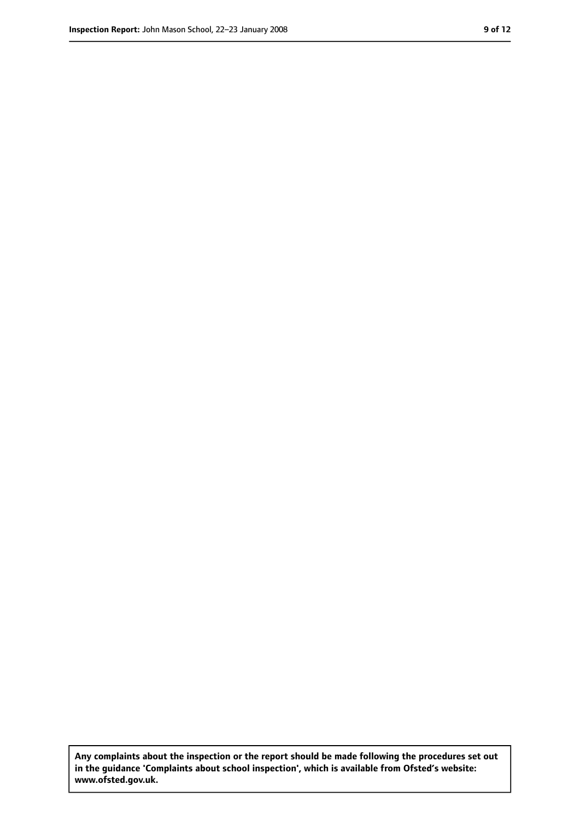**Any complaints about the inspection or the report should be made following the procedures set out in the guidance 'Complaints about school inspection', which is available from Ofsted's website: www.ofsted.gov.uk.**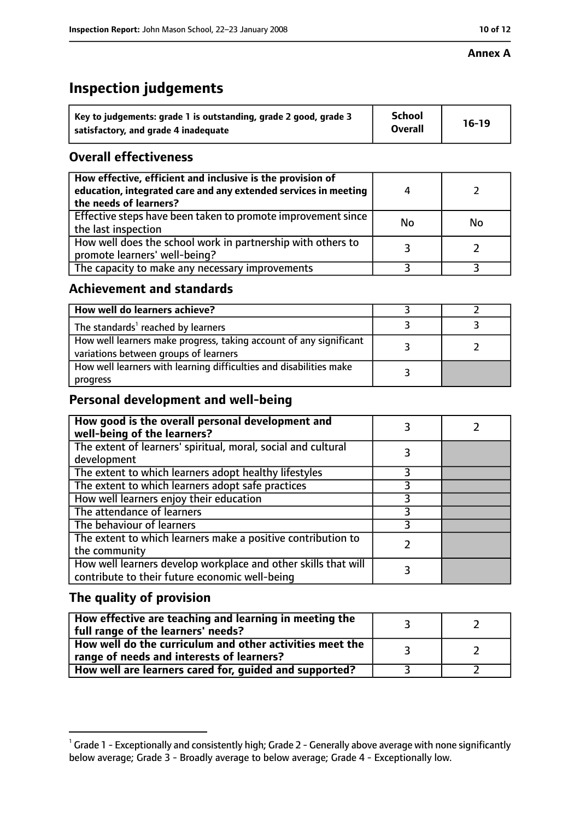#### **Annex A**

# **Inspection judgements**

| Key to judgements: grade 1 is outstanding, grade 2 good, grade 3 | <b>School</b>  | $16-19$ |
|------------------------------------------------------------------|----------------|---------|
| satisfactory, and grade 4 inadequate                             | <b>Overall</b> |         |

## **Overall effectiveness**

| How effective, efficient and inclusive is the provision of<br>education, integrated care and any extended services in meeting<br>the needs of learners? | 4  |           |
|---------------------------------------------------------------------------------------------------------------------------------------------------------|----|-----------|
| Effective steps have been taken to promote improvement since<br>the last inspection                                                                     | No | <b>No</b> |
| How well does the school work in partnership with others to<br>promote learners' well-being?                                                            |    |           |
| The capacity to make any necessary improvements                                                                                                         |    |           |

## **Achievement and standards**

| How well do learners achieve?                                                                               |  |
|-------------------------------------------------------------------------------------------------------------|--|
| The standards <sup>1</sup> reached by learners                                                              |  |
| How well learners make progress, taking account of any significant<br>variations between groups of learners |  |
| How well learners with learning difficulties and disabilities make<br>progress                              |  |

## **Personal development and well-being**

| How good is the overall personal development and<br>well-being of the learners?                                  |  |
|------------------------------------------------------------------------------------------------------------------|--|
| The extent of learners' spiritual, moral, social and cultural<br>development                                     |  |
| The extent to which learners adopt healthy lifestyles                                                            |  |
| The extent to which learners adopt safe practices                                                                |  |
| How well learners enjoy their education                                                                          |  |
| The attendance of learners                                                                                       |  |
| The behaviour of learners                                                                                        |  |
| The extent to which learners make a positive contribution to<br>the community                                    |  |
| How well learners develop workplace and other skills that will<br>contribute to their future economic well-being |  |

# **The quality of provision**

| How effective are teaching and learning in meeting the<br>full range of the learners' needs?          |  |
|-------------------------------------------------------------------------------------------------------|--|
| How well do the curriculum and other activities meet the<br>range of needs and interests of learners? |  |
| How well are learners cared for, guided and supported?                                                |  |

 $^1$  Grade 1 - Exceptionally and consistently high; Grade 2 - Generally above average with none significantly below average; Grade 3 - Broadly average to below average; Grade 4 - Exceptionally low.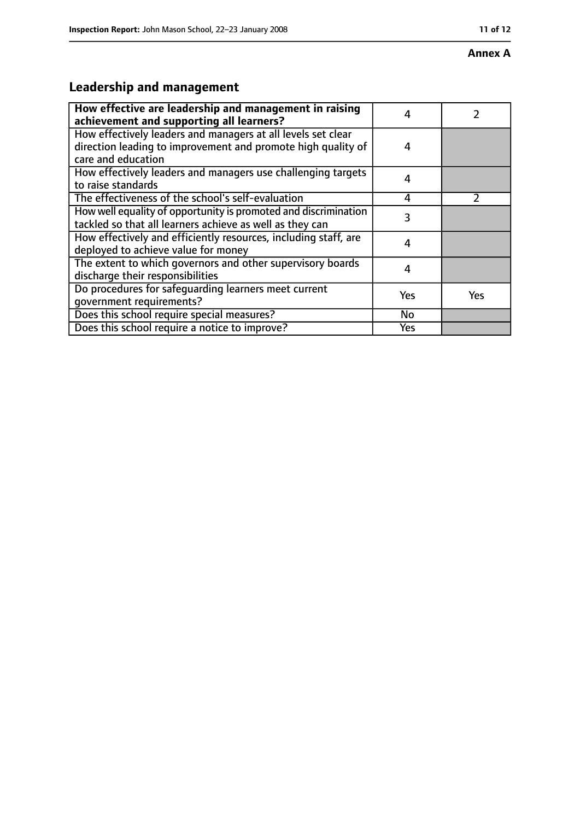#### **Annex A**

# **Leadership and management**

| How effective are leadership and management in raising<br>achievement and supporting all learners?                                                 | 4   |     |
|----------------------------------------------------------------------------------------------------------------------------------------------------|-----|-----|
| How effectively leaders and managers at all levels set clear<br>direction leading to improvement and promote high quality of<br>care and education | 4   |     |
| How effectively leaders and managers use challenging targets<br>to raise standards                                                                 | 4   |     |
| The effectiveness of the school's self-evaluation                                                                                                  | 4   |     |
| How well equality of opportunity is promoted and discrimination<br>tackled so that all learners achieve as well as they can                        | 3   |     |
| How effectively and efficiently resources, including staff, are<br>deployed to achieve value for money                                             | 4   |     |
| The extent to which governors and other supervisory boards<br>discharge their responsibilities                                                     | 4   |     |
| Do procedures for safequarding learners meet current<br>qovernment requirements?                                                                   | Yes | Yes |
| Does this school require special measures?                                                                                                         | No  |     |
| Does this school require a notice to improve?                                                                                                      | Yes |     |